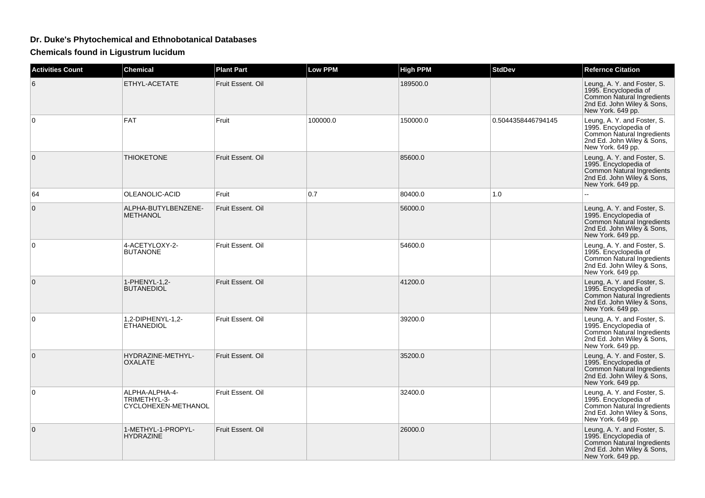## **Dr. Duke's Phytochemical and Ethnobotanical Databases**

**Chemicals found in Ligustrum lucidum**

| <b>Activities Count</b> | <b>Chemical</b>                                       | <b>Plant Part</b> | Low PPM  | <b>High PPM</b> | <b>StdDev</b>      | <b>Refernce Citation</b>                                                                                                              |
|-------------------------|-------------------------------------------------------|-------------------|----------|-----------------|--------------------|---------------------------------------------------------------------------------------------------------------------------------------|
| 6                       | ETHYL-ACETATE                                         | Fruit Essent, Oil |          | 189500.0        |                    | Leung, A. Y. and Foster, S.<br>1995. Encyclopedia of<br>Common Natural Ingredients<br>2nd Ed. John Wiley & Sons,<br>New York. 649 pp. |
| $\Omega$                | <b>FAT</b>                                            | Fruit             | 100000.0 | 150000.0        | 0.5044358446794145 | Leung, A. Y. and Foster, S.<br>1995. Encyclopedia of<br>Common Natural Ingredients<br>2nd Ed. John Wiley & Sons,<br>New York. 649 pp. |
| $\overline{0}$          | <b>THIOKETONE</b>                                     | Fruit Essent. Oil |          | 85600.0         |                    | Leung, A. Y. and Foster, S.<br>1995. Encyclopedia of<br>Common Natural Ingredients<br>2nd Ed. John Wiley & Sons,<br>New York. 649 pp. |
| 64                      | OLEANOLIC-ACID                                        | Fruit             | 0.7      | 80400.0         | 1.0                |                                                                                                                                       |
| 0                       | ALPHA-BUTYLBENZENE-<br><b>METHANOL</b>                | Fruit Essent. Oil |          | 56000.0         |                    | Leung, A. Y. and Foster, S.<br>1995. Encyclopedia of<br>Common Natural Ingredients<br>2nd Ed. John Wiley & Sons,<br>New York. 649 pp. |
| $\Omega$                | 4-ACETYLOXY-2-<br><b>BUTANONE</b>                     | Fruit Essent, Oil |          | 54600.0         |                    | Leung, A. Y. and Foster, S.<br>1995. Encyclopedia of<br>Common Natural Ingredients<br>2nd Ed. John Wiley & Sons,<br>New York. 649 pp. |
| $\mathbf{0}$            | 1-PHENYL-1,2-<br><b>BUTANEDIOL</b>                    | Fruit Essent, Oil |          | 41200.0         |                    | Leung, A. Y. and Foster, S.<br>1995. Encyclopedia of<br>Common Natural Ingredients<br>2nd Ed. John Wiley & Sons,<br>New York. 649 pp. |
| 0                       | 1,2-DIPHENYL-1,2-<br><b>ETHANEDIOL</b>                | Fruit Essent. Oil |          | 39200.0         |                    | Leung, A. Y. and Foster, S.<br>1995. Encyclopedia of<br>Common Natural Ingredients<br>2nd Ed. John Wiley & Sons,<br>New York. 649 pp. |
| $\Omega$                | HYDRAZINE-METHYL-<br><b>OXALATE</b>                   | Fruit Essent, Oil |          | 35200.0         |                    | Leung, A. Y. and Foster, S.<br>1995. Encyclopedia of<br>Common Natural Ingredients<br>2nd Ed. John Wiley & Sons,<br>New York. 649 pp. |
| 0                       | ALPHA-ALPHA-4-<br>TRIMETHYL-3-<br>CYCLOHEXEN-METHANOL | Fruit Essent. Oil |          | 32400.0         |                    | Leung, A. Y. and Foster, S.<br>1995. Encyclopedia of<br>Common Natural Ingredients<br>2nd Ed. John Wiley & Sons,<br>New York. 649 pp. |
| $\overline{0}$          | 1-METHYL-1-PROPYL-<br><b>HYDRAZINE</b>                | Fruit Essent, Oil |          | 26000.0         |                    | Leung, A. Y. and Foster, S.<br>1995. Encyclopedia of<br>Common Natural Ingredients<br>2nd Ed. John Wiley & Sons,<br>New York. 649 pp. |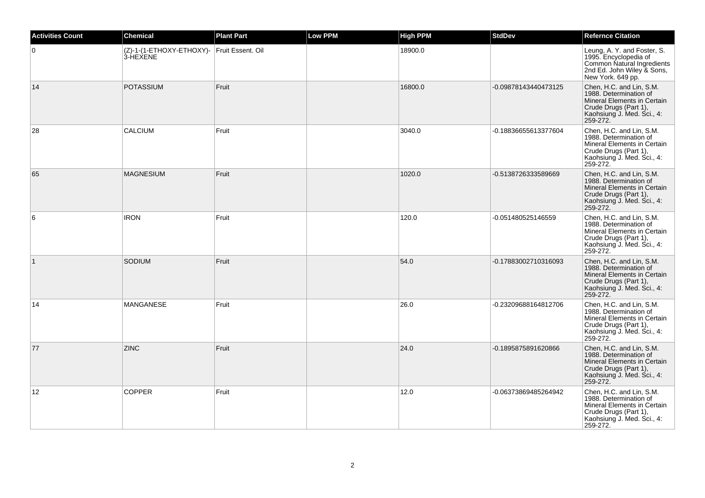| <b>Activities Count</b> | <b>Chemical</b>                                        | <b>Plant Part</b> | <b>Low PPM</b> | <b>High PPM</b> | <b>StdDev</b>        | <b>Refernce Citation</b>                                                                                                                             |
|-------------------------|--------------------------------------------------------|-------------------|----------------|-----------------|----------------------|------------------------------------------------------------------------------------------------------------------------------------------------------|
| $\overline{0}$          | (Z)-1-(1-ETHOXY-ETHOXY)- Fruit Essent. Oil<br>3-HEXENE |                   |                | 18900.0         |                      | Leung, A. Y. and Foster, S.<br>1995. Encyclopedia of<br>Common Natural Ingredients<br>2nd Ed. John Wiley & Sons,<br>New York. 649 pp.                |
| 14                      | <b>POTASSIUM</b>                                       | Fruit             |                | 16800.0         | -0.09878143440473125 | Chen, H.C. and Lin, S.M.<br>1988. Determination of<br>Mineral Elements in Certain<br>Crude Drugs (Part 1),<br>Kaohsiung J. Med. Sci., 4:<br>259-272. |
| 28                      | <b>CALCIUM</b>                                         | Fruit             |                | 3040.0          | -0.18836655613377604 | Chen, H.C. and Lin, S.M.<br>1988. Determination of<br>Mineral Elements in Certain<br>Crude Drugs (Part 1),<br>Kaohsiung J. Med. Sci., 4:<br>259-272. |
| 65                      | <b>MAGNESIUM</b>                                       | Fruit             |                | 1020.0          | -0.5138726333589669  | Chen, H.C. and Lin, S.M.<br>1988. Determination of<br>Mineral Elements in Certain<br>Crude Drugs (Part 1),<br>Kaohsiung J. Med. Sci., 4:<br>259-272. |
| 6                       | <b>IRON</b>                                            | Fruit             |                | 120.0           | -0.051480525146559   | Chen, H.C. and Lin, S.M.<br>1988. Determination of<br>Mineral Elements in Certain<br>Crude Drugs (Part 1),<br>Kaohsiung J. Med. Sci., 4:<br>259-272. |
| $\vert$ 1               | SODIUM                                                 | Fruit             |                | 54.0            | -0.17883002710316093 | Chen, H.C. and Lin, S.M.<br>1988. Determination of<br>Mineral Elements in Certain<br>Crude Drugs (Part 1),<br>Kaohsiung J. Med. Sci., 4:<br>259-272. |
| 14                      | MANGANESE                                              | Fruit             |                | 26.0            | -0.23209688164812706 | Chen, H.C. and Lin, S.M.<br>1988. Determination of<br>Mineral Elements in Certain<br>Crude Drugs (Part 1),<br>Kaohsiung J. Med. Sci., 4:<br>259-272. |
| 77                      | <b>ZINC</b>                                            | Fruit             |                | 24.0            | -0.1895875891620866  | Chen, H.C. and Lin, S.M.<br>1988. Determination of<br>Mineral Elements in Certain<br>Crude Drugs (Part 1),<br>Kaohsiung J. Med. Sci., 4:<br>259-272. |
| 12                      | <b>COPPER</b>                                          | Fruit             |                | 12.0            | -0.06373869485264942 | Chen, H.C. and Lin, S.M.<br>1988. Determination of<br>Mineral Elements in Certain<br>Crude Drugs (Part 1),<br>Kaohsiung J. Med. Sci., 4:<br>259-272. |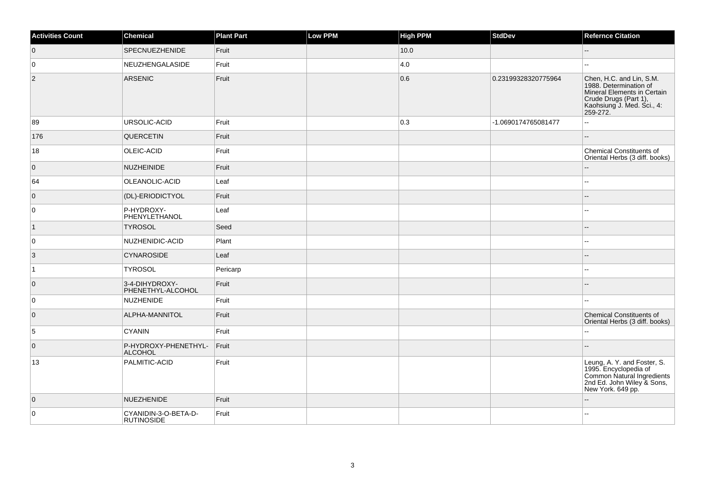| <b>Activities Count</b> | Chemical                                  | <b>Plant Part</b> | <b>Low PPM</b> | <b>High PPM</b> | <b>StdDev</b>       | <b>Refernce Citation</b>                                                                                                                             |
|-------------------------|-------------------------------------------|-------------------|----------------|-----------------|---------------------|------------------------------------------------------------------------------------------------------------------------------------------------------|
| $\overline{0}$          | <b>SPECNUEZHENIDE</b>                     | Fruit             |                | 10.0            |                     | $\overline{\phantom{a}}$                                                                                                                             |
| 0                       | NEUZHENGALASIDE                           | Fruit             |                | 4.0             |                     | $\sim$                                                                                                                                               |
| $ 2\rangle$             | ARSENIC                                   | Fruit             |                | 0.6             | 0.23199328320775964 | Chen, H.C. and Lin, S.M.<br>1988. Determination of<br>Mineral Elements in Certain<br>Crude Drugs (Part 1),<br>Kaohsiung J. Med. Sci., 4:<br>259-272. |
| 89                      | URSOLIC-ACID                              | Fruit             |                | 0.3             | -1.0690174765081477 | Ξ.                                                                                                                                                   |
| 176                     | QUERCETIN                                 | Fruit             |                |                 |                     | ш,                                                                                                                                                   |
| 18                      | OLEIC-ACID                                | Fruit             |                |                 |                     | <b>Chemical Constituents of</b><br>Oriental Herbs (3 diff. books)                                                                                    |
| $\overline{0}$          | NUZHEINIDE                                | Fruit             |                |                 |                     | $-$                                                                                                                                                  |
| 64                      | OLEANOLIC-ACID                            | Leaf              |                |                 |                     | Щ,                                                                                                                                                   |
| $\overline{0}$          | (DL)-ERIODICTYOL                          | Fruit             |                |                 |                     |                                                                                                                                                      |
| 0                       | P-HYDROXY-<br>PHENYLETHANOL               | Leaf              |                |                 |                     |                                                                                                                                                      |
| $\overline{1}$          | <b>TYROSOL</b>                            | Seed              |                |                 |                     |                                                                                                                                                      |
| 0                       | NUZHENIDIC-ACID                           | Plant             |                |                 |                     | $\overline{\phantom{a}}$                                                                                                                             |
| $\vert 3 \vert$         | <b>CYNAROSIDE</b>                         | Leaf              |                |                 |                     | --                                                                                                                                                   |
| $\overline{1}$          | <b>TYROSOL</b>                            | Pericarp          |                |                 |                     | Щ,                                                                                                                                                   |
| $\overline{0}$          | 3-4-DIHYDROXY-<br>PHENETHYL-ALCOHOL       | Fruit             |                |                 |                     |                                                                                                                                                      |
| 0                       | NUZHENIDE                                 | Fruit             |                |                 |                     |                                                                                                                                                      |
| $\overline{0}$          | ALPHA-MANNITOL                            | Fruit             |                |                 |                     | <b>Chemical Constituents of</b><br>Oriental Herbs (3 diff. books)                                                                                    |
| $\overline{5}$          | CYANIN                                    | Fruit             |                |                 |                     |                                                                                                                                                      |
| $\overline{0}$          | P-HYDROXY-PHENETHYL-<br>ALCOHOL           | Fruit             |                |                 |                     |                                                                                                                                                      |
| 13                      | PALMITIC-ACID                             | Fruit             |                |                 |                     | Leung, A. Y. and Foster, S.<br>1995. Encyclopedia of<br>Common Natural Ingredients<br>2nd Ed. John Wiley & Sons,<br>New York. 649 pp.                |
| $\overline{0}$          | NUEZHENIDE                                | Fruit             |                |                 |                     |                                                                                                                                                      |
| 0                       | CYANIDIN-3-O-BETA-D-<br><b>RUTINOSIDE</b> | Fruit             |                |                 |                     |                                                                                                                                                      |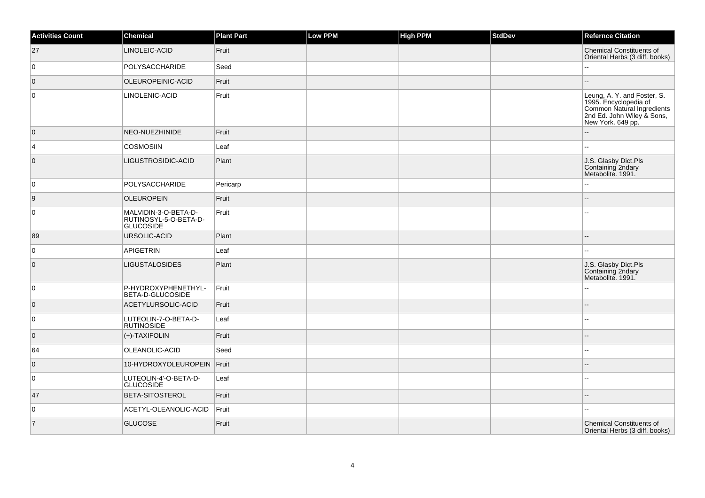| <b>Activities Count</b> | <b>Chemical</b>                                            | <b>Plant Part</b> | Low PPM | <b>High PPM</b> | <b>StdDev</b> | <b>Refernce Citation</b>                                                                                                              |
|-------------------------|------------------------------------------------------------|-------------------|---------|-----------------|---------------|---------------------------------------------------------------------------------------------------------------------------------------|
| 27                      | LINOLEIC-ACID                                              | Fruit             |         |                 |               | <b>Chemical Constituents of</b><br>Oriental Herbs (3 diff. books)                                                                     |
| $\mathbf 0$             | POLYSACCHARIDE                                             | Seed              |         |                 |               | Щ,                                                                                                                                    |
| $\overline{0}$          | OLEUROPEINIC-ACID                                          | Fruit             |         |                 |               |                                                                                                                                       |
| 0                       | LINOLENIC-ACID                                             | Fruit             |         |                 |               | Leung, A. Y. and Foster, S.<br>1995. Encyclopedia of<br>Common Natural Ingredients<br>2nd Ed. John Wiley & Sons,<br>New York. 649 pp. |
| $\overline{0}$          | NEO-NUEZHINIDE                                             | Fruit             |         |                 |               | $-$                                                                                                                                   |
| 4                       | <b>COSMOSIIN</b>                                           | Leaf              |         |                 |               | --                                                                                                                                    |
| 0                       | LIGUSTROSIDIC-ACID                                         | Plant             |         |                 |               | J.S. Glasby Dict.Pls<br>Containing 2ndary<br>Metabolite. 1991.                                                                        |
| 0                       | POLYSACCHARIDE                                             | Pericarp          |         |                 |               | ۵.                                                                                                                                    |
| 9                       | <b>OLEUROPEIN</b>                                          | Fruit             |         |                 |               | --                                                                                                                                    |
| $\mathbf 0$             | MALVIDIN-3-O-BETA-D-<br>RUTINOSYL-5-O-BETA-D-<br>GLUCOSIDE | Fruit             |         |                 |               |                                                                                                                                       |
| 89                      | URSOLIC-ACID                                               | Plant             |         |                 |               | --                                                                                                                                    |
| $\mathbf 0$             | <b>APIGETRIN</b>                                           | Leaf              |         |                 |               |                                                                                                                                       |
| $\mathbf 0$             | <b>LIGUSTALOSIDES</b>                                      | Plant             |         |                 |               | J.S. Glasby Dict.Pls<br>Containing 2ndary<br>Metabolite. 1991.                                                                        |
| 0                       | P-HYDROXYPHENETHYL-<br>BETA-D-GLUCOSIDE                    | Fruit             |         |                 |               | ۵.                                                                                                                                    |
| 0                       | ACETYLURSOLIC-ACID                                         | Fruit             |         |                 |               |                                                                                                                                       |
| $\mathbf 0$             | LUTEOLIN-7-O-BETA-D-<br><b>RUTINOSIDE</b>                  | Leaf              |         |                 |               | $\overline{a}$                                                                                                                        |
| $\overline{0}$          | (+)-TAXIFOLIN                                              | Fruit             |         |                 |               |                                                                                                                                       |
| 64                      | OLEANOLIC-ACID                                             | Seed              |         |                 |               | $\overline{a}$                                                                                                                        |
| $\overline{0}$          | 10-HYDROXYOLEUROPEIN Fruit                                 |                   |         |                 |               |                                                                                                                                       |
| 0                       | LUTEOLIN-4'-O-BETA-D-<br><b>GLUCOSIDE</b>                  | Leaf              |         |                 |               | $\overline{a}$                                                                                                                        |
| 47                      | BETA-SITOSTEROL                                            | Fruit             |         |                 |               | $\overline{a}$                                                                                                                        |
| 0                       | ACETYL-OLEANOLIC-ACID                                      | Fruit             |         |                 |               | ۵.                                                                                                                                    |
| $\vert$ 7               | <b>GLUCOSE</b>                                             | Fruit             |         |                 |               | <b>Chemical Constituents of</b><br>Oriental Herbs (3 diff. books)                                                                     |